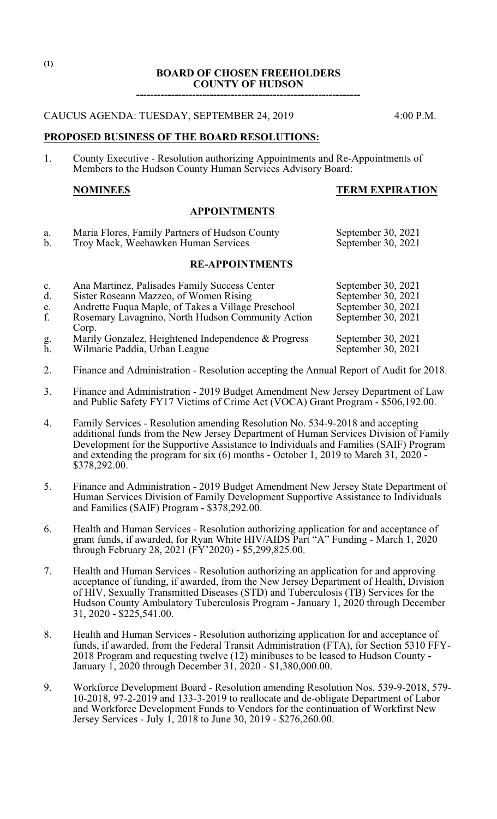### **BOARD OF CHOSEN FREEHOLDERS COUNTY OF HUDSON**

**----------------------------------------------------------------**

CAUCUS AGENDA: TUESDAY, SEPTEMBER 24, 2019 4:00 P.M.

# **PROPOSED BUSINESS OF THE BOARD RESOLUTIONS:**

1. County Executive - Resolution authorizing Appointments and Re-Appointments of Members to the Hudson County Human Services Advisory Board:

### **NOMINEES TERM EXPIRATION**

#### **APPOINTMENTS**

a. Maria Flores, Family Partners of Hudson County<br>
b. Troy Mack, Weehawken Human Services September 30, 2021 b. Troy Mack, Weehawken Human Services

### **RE-APPOINTMENTS**

- c. Ana Martinez, Palisades Family Success Center September 30, 2021<br>d. Sister Roseann Mazzeo, of Women Rising September 30, 2021
- 
- d. Sister Roseann Mazzeo, of Women Rising September 30, 2021<br>
e. Andrette Fuqua Maple, of Takes a Village Preschool September 30, 2021
- e. Andrette Fuqua Maple, of Takes a Village Preschool September 30, 2021<br>f. Rosemary Lavagnino, North Hudson Community Action September 30, 2021 Rosemary Lavagnino, North Hudson Community Action Corp.
- g. Marily Gonzalez, Heightened Independence & Progress September 30, 2021<br>
h. Wilmarie Paddia, Urban League September 30, 2021
- Wilmarie Paddia, Urban League
- 2. Finance and Administration Resolution accepting the Annual Report of Audit for 2018.
- 3. Finance and Administration 2019 Budget Amendment New Jersey Department of Law and Public Safety FY17 Victims of Crime Act (VOCA) Grant Program - \$506,192.00.
- 4. Family Services Resolution amending Resolution No. 534-9-2018 and accepting additional funds from the New Jersey Department of Human Services Division of Family Development for the Supportive Assistance to Individuals and Families (SAIF) Program and extending the program for six (6) months - October 1, 2019 to March 31, 2020 - \$378,292.00.
- 5. Finance and Administration 2019 Budget Amendment New Jersey State Department of Human Services Division of Family Development Supportive Assistance to Individuals and Families (SAIF) Program - \$378,292.00.
- 6. Health and Human Services Resolution authorizing application for and acceptance of grant funds, if awarded, for Ryan White HIV/AIDS Part "A" Funding - March 1, 2020 through February 28, 2021 (FY'2020) - \$5,299,825.00.
- 7. Health and Human Services Resolution authorizing an application for and approving acceptance of funding, if awarded, from the New Jersey Department of Health, Division of HIV, Sexually Transmitted Diseases (STD) and Tuberculosis (TB) Services for the Hudson County Ambulatory Tuberculosis Program - January 1, 2020 through December 31, 2020 - \$225,541.00.
- 8. Health and Human Services Resolution authorizing application for and acceptance of funds, if awarded, from the Federal Transit Administration (FTA), for Section 5310 FFY-2018 Program and requesting twelve (12) minibuses to be leased to Hudson County - January 1, 2020 through December 31, 2020 - \$1,380,000.00.
- 9. Workforce Development Board Resolution amending Resolution Nos. 539-9-2018, 579- 10-2018, 97-2-2019 and 133-3-2019 to reallocate and de-obligate Department of Labor and Workforce Development Funds to Vendors for the continuation of Workfirst New Jersey Services - July 1, 2018 to June 30, 2019 - \$276,260.00.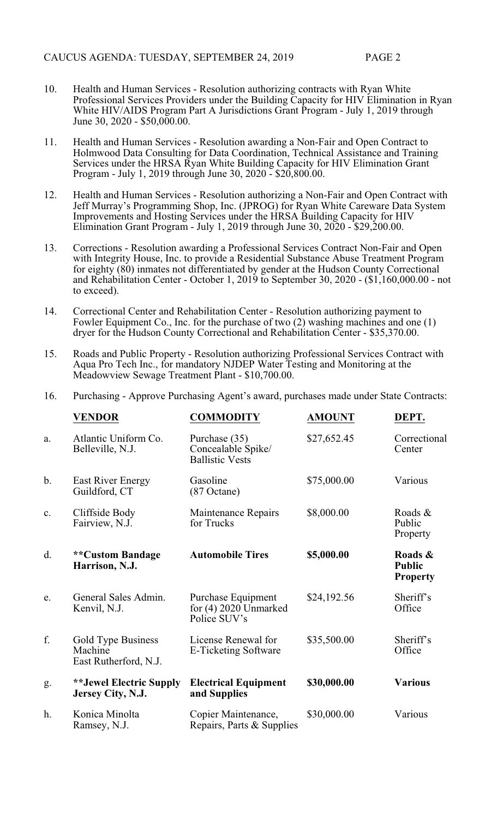- 10. Health and Human Services Resolution authorizing contracts with Ryan White Professional Services Providers under the Building Capacity for HIV Elimination in Ryan White HIV/AIDS Program Part A Jurisdictions Grant Program - July 1, 2019 through June 30, 2020 -  $$50,000.00$ .
- 11. Health and Human Services Resolution awarding a Non-Fair and Open Contract to Holmwood Data Consulting for Data Coordination, Technical Assistance and Training Services under the HRSA Ryan White Building Capacity for HIV Elimination Grant Program - July 1, 2019 through June 30, 2020 - \$20,800.00.
- 12. Health and Human Services Resolution authorizing a Non-Fair and Open Contract with Jeff Murray's Programming Shop, Inc. (JPROG) for Ryan White Careware Data System Improvements and Hosting Services under the HRSA Building Capacity for HIV Elimination Grant Program - July 1, 2019 through June 30, 2020 - \$29,200.00.
- 13. Corrections Resolution awarding a Professional Services Contract Non-Fair and Open with Integrity House, Inc. to provide a Residential Substance Abuse Treatment Program for eighty (80) inmates not differentiated by gender at the Hudson County Correctional and Rehabilitation Center - October 1, 2019 to September 30, 2020 - (\$1,160,000.00 - not to exceed).
- 14. Correctional Center and Rehabilitation Center Resolution authorizing payment to Fowler Equipment Co., Inc. for the purchase of two (2) washing machines and one (1) dryer for the Hudson County Correctional and Rehabilitation Center - \$35,370.00.
- 15. Roads and Public Property Resolution authorizing Professional Services Contract with Aqua Pro Tech Inc., for mandatory NJDEP Water Testing and Monitoring at the Meadowview Sewage Treatment Plant - \$10,700.00.
- 16. Purchasing Approve Purchasing Agent's award, purchases made under State Contracts:

|               | <b>VENDOR</b>                                          | <b>COMMODITY</b>                                              | <b>AMOUNT</b> | DEPT.                                       |
|---------------|--------------------------------------------------------|---------------------------------------------------------------|---------------|---------------------------------------------|
| a.            | Atlantic Uniform Co.<br>Belleville, N.J.               | Purchase (35)<br>Concealable Spike/<br><b>Ballistic Vests</b> | \$27,652.45   | Correctional<br>Center                      |
| $\mathbf b$ . | <b>East River Energy</b><br>Guildford, CT              | Gasoline<br>$(87$ Octane)                                     | \$75,000.00   | Various                                     |
| c.            | Cliffside Body<br>Fairview, N.J.                       | Maintenance Repairs<br>for Trucks                             | \$8,000.00    | Roads &<br>Public<br>Property               |
| d.            | <b>**Custom Bandage</b><br>Harrison, N.J.              | <b>Automobile Tires</b>                                       | \$5,000.00    | Roads &<br><b>Public</b><br><b>Property</b> |
| e.            | General Sales Admin.<br>Kenvil, N.J.                   | Purchase Equipment<br>for (4) 2020 Unmarked<br>Police SUV's   | \$24,192.56   | Sheriff's<br>Office                         |
| f.            | Gold Type Business<br>Machine<br>East Rutherford, N.J. | License Renewal for<br>E-Ticketing Software                   | \$35,500.00   | Sheriff's<br>Office                         |
| g.            | <b>**Jewel Electric Supply</b><br>Jersey City, N.J.    | <b>Electrical Equipment</b><br>and Supplies                   | \$30,000.00   | <b>Various</b>                              |
| h.            | Konica Minolta<br>Ramsey, N.J.                         | Copier Maintenance,<br>Repairs, Parts & Supplies              | \$30,000.00   | Various                                     |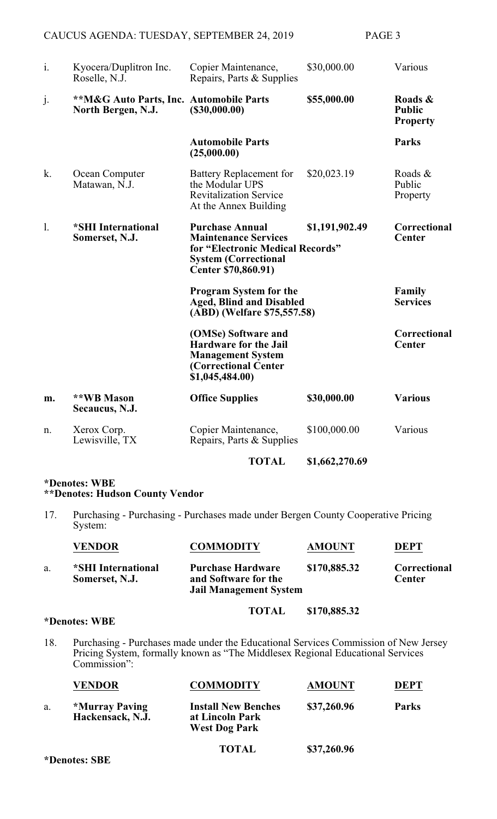| $\mathbf{i}$ . | Kyocera/Duplitron Inc.<br>Roselle, N.J.                        | Copier Maintenance,<br>Repairs, Parts & Supplies                                                                                                                                                                                                                     | \$30,000.00    | Various                                     |
|----------------|----------------------------------------------------------------|----------------------------------------------------------------------------------------------------------------------------------------------------------------------------------------------------------------------------------------------------------------------|----------------|---------------------------------------------|
| j.             | ** M&G Auto Parts, Inc. Automobile Parts<br>North Bergen, N.J. | (\$30,000.00)                                                                                                                                                                                                                                                        | \$55,000.00    | Roads &<br><b>Public</b><br><b>Property</b> |
|                |                                                                | <b>Automobile Parts</b><br>(25,000.00)                                                                                                                                                                                                                               |                | <b>Parks</b>                                |
| k.             | Ocean Computer<br>Matawan, N.J.                                | <b>Battery Replacement for</b><br>the Modular UPS<br><b>Revitalization Service</b><br>At the Annex Building                                                                                                                                                          | \$20,023.19    | Roads &<br>Public<br>Property               |
| 1.             | *SHI International<br>Somerset, N.J.                           | <b>Purchase Annual</b><br>\$1,191,902.49<br><b>Maintenance Services</b><br>for "Electronic Medical Records"<br><b>System (Correctional</b><br>Center \$70,860.91)<br><b>Program System for the</b><br><b>Aged, Blind and Disabled</b><br>(ABD) (Welfare \$75,557.58) |                | Correctional<br><b>Center</b>               |
|                |                                                                |                                                                                                                                                                                                                                                                      |                | Family<br><b>Services</b>                   |
|                |                                                                | (OMSe) Software and<br><b>Hardware for the Jail</b><br><b>Management System</b><br>(Correctional Center<br>\$1,045,484.00)                                                                                                                                           |                | Correctional<br><b>Center</b>               |
| m.             | **WB Mason<br>Secaucus, N.J.                                   | <b>Office Supplies</b>                                                                                                                                                                                                                                               | \$30,000.00    | <b>Various</b>                              |
| n.             | Xerox Corp.<br>Lewisville, TX                                  | Copier Maintenance,<br>Repairs, Parts & Supplies                                                                                                                                                                                                                     | \$100,000.00   | Various                                     |
|                |                                                                | <b>TOTAL</b>                                                                                                                                                                                                                                                         | \$1,662,270.69 |                                             |

### **\*Denotes: WBE**

# **\*\*Denotes: Hudson County Vendor**

17. Purchasing - Purchasing - Purchases made under Bergen County Cooperative Pricing System:

|    | <b>VENDOR</b>                        | <b>COMMODITY</b>                                                                  | <b>AMOUNT</b> | DEPT                                 |
|----|--------------------------------------|-----------------------------------------------------------------------------------|---------------|--------------------------------------|
| a. | *SHI International<br>Somerset, N.J. | <b>Purchase Hardware</b><br>and Software for the<br><b>Jail Management System</b> | \$170,885.32  | <b>Correctional</b><br><b>Center</b> |

**TOTAL \$170,885.32**

### **\*Denotes: WBE**

18. Purchasing - Purchases made under the Educational Services Commission of New Jersey Pricing System, formally known as "The Middlesex Regional Educational Services Commission":

|    | <b>VENDOR</b>                      | <b>COMMODITY</b>                                                      | <b>AMOUNT</b> | <b>DEPT</b>  |
|----|------------------------------------|-----------------------------------------------------------------------|---------------|--------------|
| a. | *Murray Paving<br>Hackensack, N.J. | <b>Install New Benches</b><br>at Lincoln Park<br><b>West Dog Park</b> | \$37,260.96   | <b>Parks</b> |
|    |                                    | <b>TOTAL</b>                                                          | \$37,260.96   |              |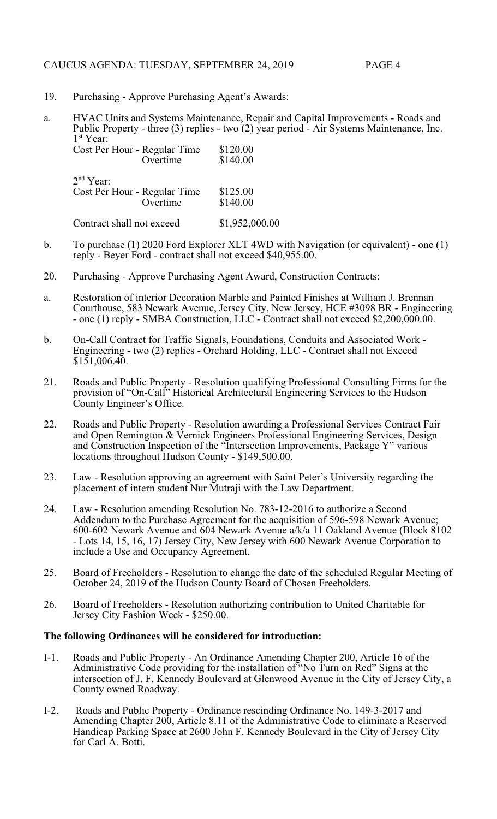### CAUCUS AGENDA: TUESDAY, SEPTEMBER 24, 2019 PAGE 4

- 19. Purchasing Approve Purchasing Agent's Awards:
- a. HVAC Units and Systems Maintenance, Repair and Capital Improvements Roads and Public Property - three (3) replies - two (2) year period - Air Systems Maintenance, Inc. 1 st Year: Cost Per Hour - Regular Time \$120.00

| $\cos t$ i $\sin \theta$ - $\cos \theta$ into | Overtime                                 | 9140.00<br>\$140.00  |
|-----------------------------------------------|------------------------------------------|----------------------|
| 2 <sup>nd</sup> Year:                         | Cost Per Hour - Regular Time<br>Overtime | \$125.00<br>\$140.00 |

Contract shall not exceed \$1,952,000.00

- b. To purchase (1) 2020 Ford Explorer XLT 4WD with Navigation (or equivalent) one (1) reply - Beyer Ford - contract shall not exceed \$40,955.00.
- 20. Purchasing Approve Purchasing Agent Award, Construction Contracts:
- a. Restoration of interior Decoration Marble and Painted Finishes at William J. Brennan Courthouse, 583 Newark Avenue, Jersey City, New Jersey, HCE #3098 BR - Engineering - one (1) reply - SMBA Construction, LLC - Contract shall not exceed \$2,200,000.00.
- b. On-Call Contract for Traffic Signals, Foundations, Conduits and Associated Work Engineering - two (2) replies - Orchard Holding, LLC - Contract shall not Exceed  $$1\bar{5}1,006.40.$
- 21. Roads and Public Property Resolution qualifying Professional Consulting Firms for the provision of "On-Call" Historical Architectural Engineering Services to the Hudson County Engineer's Office.
- 22. Roads and Public Property Resolution awarding a Professional Services Contract Fair and Open Remington & Vernick Engineers Professional Engineering Services, Design and Construction Inspection of the "Intersection Improvements, Package Y" various locations throughout Hudson County - \$149,500.00.
- 23. Law Resolution approving an agreement with Saint Peter's University regarding the placement of intern student Nur Mutraji with the Law Department.
- 24. Law Resolution amending Resolution No. 783-12-2016 to authorize a Second Addendum to the Purchase Agreement for the acquisition of 596-598 Newark Avenue; 600-602 Newark Avenue and 604 Newark Avenue a/k/a 11 Oakland Avenue (Block 8102 - Lots 14, 15, 16, 17) Jersey City, New Jersey with 600 Newark Avenue Corporation to include a Use and Occupancy Agreement.
- 25. Board of Freeholders Resolution to change the date of the scheduled Regular Meeting of October 24, 2019 of the Hudson County Board of Chosen Freeholders.
- 26. Board of Freeholders Resolution authorizing contribution to United Charitable for Jersey City Fashion Week - \$250.00.

### **The following Ordinances will be considered for introduction:**

- I-1. Roads and Public Property An Ordinance Amending Chapter 200, Article 16 of the Administrative Code providing for the installation of "No Turn on Red" Signs at the intersection of J. F. Kennedy Boulevard at Glenwood Avenue in the City of Jersey City, a County owned Roadway.
- I-2. Roads and Public Property Ordinance rescinding Ordinance No. 149-3-2017 and Amending Chapter 200, Article 8.11 of the Administrative Code to eliminate a Reserved Handicap Parking Space at 2600 John F. Kennedy Boulevard in the City of Jersey City for Carl A. Botti.